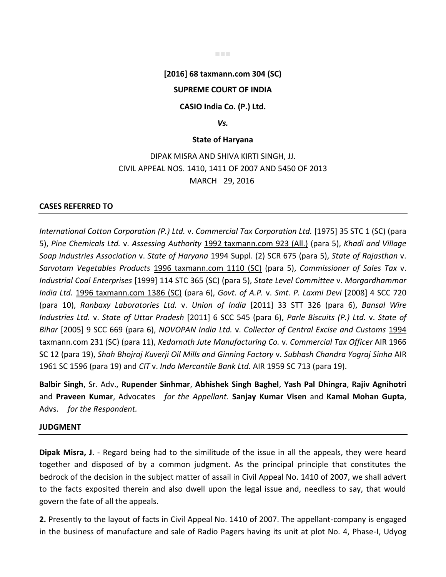## **[2016] 68 taxmann.com 304 (SC)**

## **SUPREME COURT OF INDIA**

### **CASIO India Co. (P.) Ltd.**

#### *Vs.*

#### **State of Haryana**

# DIPAK MISRA AND SHIVA KIRTI SINGH, JJ. CIVIL APPEAL NOS. 1410, 1411 OF 2007 AND 5450 OF 2013 MARCH 29, 2016

#### **CASES REFERRED TO**

*International Cotton Corporation (P.) Ltd.* v. *Commercial Tax Corporation Ltd.* [1975] 35 STC 1 (SC) (para 5), *Pine Chemicals Ltd.* v. *Assessing Authority* 1992 taxmann.com 923 (All.) (para 5), *Khadi and Village Soap Industries Association* v. *State of Haryana* 1994 Suppl. (2) SCR 675 (para 5), *State of Rajasthan* v. *Sarvotam Vegetables Products* 1996 taxmann.com 1110 (SC) (para 5), *Commissioner of Sales Tax* v. *Industrial Coal Enterprises* [1999] 114 STC 365 (SC) (para 5), *State Level Committee* v. *Morgardhammar India Ltd.* 1996 taxmann.com 1386 (SC) (para 6), *Govt. of A.P.* v. *Smt. P. Laxmi Devi* [2008] 4 SCC 720 (para 10), *Ranbaxy Laboratories Ltd.* v. *Union of India* [2011] 33 STT 326 (para 6), *Bansal Wire Industries Ltd.* v. *State of Uttar Pradesh* [2011] 6 SCC 545 (para 6), *Parle Biscuits (P.) Ltd.* v. *State of Bihar* [2005] 9 SCC 669 (para 6), *NOVOPAN India Ltd.* v. *Collector of Central Excise and Customs* 1994 taxmann.com 231 (SC) (para 11), *Kedarnath Jute Manufacturing Co.* v. *Commercial Tax Officer* AIR 1966 SC 12 (para 19), *Shah Bhojraj Kuverji Oil Mills and Ginning Factory* v. *Subhash Chandra Yograj Sinha* AIR 1961 SC 1596 (para 19) and *CIT* v. *Indo Mercantile Bank Ltd.* AIR 1959 SC 713 (para 19).

**Balbir Singh**, Sr. Adv., **Rupender Sinhmar**, **Abhishek Singh Baghel**, **Yash Pal Dhingra**, **Rajiv Agnihotri** and **Praveen Kumar**, Advocates *for the Appellant.* **Sanjay Kumar Visen** and **Kamal Mohan Gupta**, Advs. *for the Respondent.*

#### **JUDGMENT**

**Dipak Misra, J**. - Regard being had to the similitude of the issue in all the appeals, they were heard together and disposed of by a common judgment. As the principal principle that constitutes the bedrock of the decision in the subject matter of assail in Civil Appeal No. 1410 of 2007, we shall advert to the facts exposited therein and also dwell upon the legal issue and, needless to say, that would govern the fate of all the appeals.

**2.** Presently to the layout of facts in Civil Appeal No. 1410 of 2007. The appellant-company is engaged in the business of manufacture and sale of Radio Pagers having its unit at plot No. 4, Phase-I, Udyog

■■■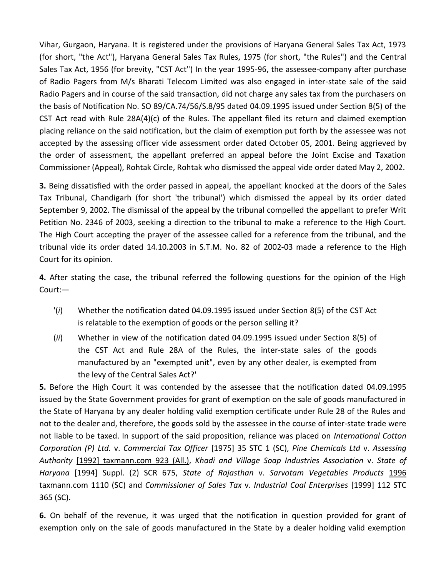Vihar, Gurgaon, Haryana. It is registered under the provisions of Haryana General Sales Tax Act, 1973 (for short, "the Act"), Haryana General Sales Tax Rules, 1975 (for short, "the Rules") and the Central Sales Tax Act, 1956 (for brevity, "CST Act") In the year 1995-96, the assessee-company after purchase of Radio Pagers from M/s Bharati Telecom Limited was also engaged in inter-state sale of the said Radio Pagers and in course of the said transaction, did not charge any sales tax from the purchasers on the basis of Notification No. SO 89/CA.74/56/S.8/95 dated 04.09.1995 issued under Section 8(5) of the CST Act read with Rule 28A(4)(c) of the Rules. The appellant filed its return and claimed exemption placing reliance on the said notification, but the claim of exemption put forth by the assessee was not accepted by the assessing officer vide assessment order dated October 05, 2001. Being aggrieved by the order of assessment, the appellant preferred an appeal before the Joint Excise and Taxation Commissioner (Appeal), Rohtak Circle, Rohtak who dismissed the appeal vide order dated May 2, 2002.

**3.** Being dissatisfied with the order passed in appeal, the appellant knocked at the doors of the Sales Tax Tribunal, Chandigarh (for short 'the tribunal') which dismissed the appeal by its order dated September 9, 2002. The dismissal of the appeal by the tribunal compelled the appellant to prefer Writ Petition No. 2346 of 2003, seeking a direction to the tribunal to make a reference to the High Court. The High Court accepting the prayer of the assessee called for a reference from the tribunal, and the tribunal vide its order dated 14.10.2003 in S.T.M. No. 82 of 2002-03 made a reference to the High Court for its opinion.

**4.** After stating the case, the tribunal referred the following questions for the opinion of the High Court:—

- '(*i*) Whether the notification dated 04.09.1995 issued under Section 8(5) of the CST Act is relatable to the exemption of goods or the person selling it?
- (*ii*) Whether in view of the notification dated 04.09.1995 issued under Section 8(5) of the CST Act and Rule 28A of the Rules, the inter-state sales of the goods manufactured by an "exempted unit", even by any other dealer, is exempted from the levy of the Central Sales Act?'

**5.** Before the High Court it was contended by the assessee that the notification dated 04.09.1995 issued by the State Government provides for grant of exemption on the sale of goods manufactured in the State of Haryana by any dealer holding valid exemption certificate under Rule 28 of the Rules and not to the dealer and, therefore, the goods sold by the assessee in the course of inter-state trade were not liable to be taxed. In support of the said proposition, reliance was placed on *International Cotton Corporation (P) Ltd.* v. *Commercial Tax Officer* [1975] 35 STC 1 (SC), *Pine Chemicals Ltd* v. *Assessing Authority* [1992] taxmann.com 923 (All.), *Khadi and Village Soap Industries Association* v. *State of Haryana* [1994] Suppl. (2) SCR 675, *State of Rajasthan* v. *Sarvotam Vegetables Products* 1996 taxmann.com 1110 (SC) and *Commissioner of Sales Tax* v. *Industrial Coal Enterprises* [1999] 112 STC 365 (SC).

**6.** On behalf of the revenue, it was urged that the notification in question provided for grant of exemption only on the sale of goods manufactured in the State by a dealer holding valid exemption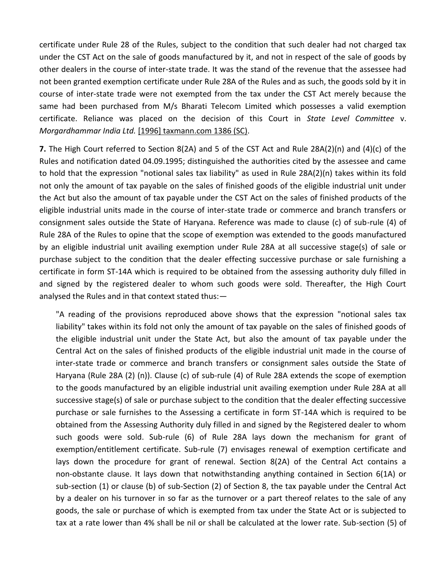certificate under Rule 28 of the Rules, subject to the condition that such dealer had not charged tax under the CST Act on the sale of goods manufactured by it, and not in respect of the sale of goods by other dealers in the course of inter-state trade. It was the stand of the revenue that the assessee had not been granted exemption certificate under Rule 28A of the Rules and as such, the goods sold by it in course of inter-state trade were not exempted from the tax under the CST Act merely because the same had been purchased from M/s Bharati Telecom Limited which possesses a valid exemption certificate. Reliance was placed on the decision of this Court in *State Level Committee* v. *Morgardhammar India Ltd.* [1996] taxmann.com 1386 (SC).

**7.** The High Court referred to Section 8(2A) and 5 of the CST Act and Rule 28A(2)(n) and (4)(c) of the Rules and notification dated 04.09.1995; distinguished the authorities cited by the assessee and came to hold that the expression "notional sales tax liability" as used in Rule 28A(2)(n) takes within its fold not only the amount of tax payable on the sales of finished goods of the eligible industrial unit under the Act but also the amount of tax payable under the CST Act on the sales of finished products of the eligible industrial units made in the course of inter-state trade or commerce and branch transfers or consignment sales outside the State of Haryana. Reference was made to clause (c) of sub-rule (4) of Rule 28A of the Rules to opine that the scope of exemption was extended to the goods manufactured by an eligible industrial unit availing exemption under Rule 28A at all successive stage(s) of sale or purchase subject to the condition that the dealer effecting successive purchase or sale furnishing a certificate in form ST-14A which is required to be obtained from the assessing authority duly filled in and signed by the registered dealer to whom such goods were sold. Thereafter, the High Court analysed the Rules and in that context stated thus:—

"A reading of the provisions reproduced above shows that the expression "notional sales tax liability" takes within its fold not only the amount of tax payable on the sales of finished goods of the eligible industrial unit under the State Act, but also the amount of tax payable under the Central Act on the sales of finished products of the eligible industrial unit made in the course of inter-state trade or commerce and branch transfers or consignment sales outside the State of Haryana (Rule 28A (2) (n)). Clause (c) of sub-rule (4) of Rule 28A extends the scope of exemption to the goods manufactured by an eligible industrial unit availing exemption under Rule 28A at all successive stage(s) of sale or purchase subject to the condition that the dealer effecting successive purchase or sale furnishes to the Assessing a certificate in form ST-14A which is required to be obtained from the Assessing Authority duly filled in and signed by the Registered dealer to whom such goods were sold. Sub-rule (6) of Rule 28A lays down the mechanism for grant of exemption/entitlement certificate. Sub-rule (7) envisages renewal of exemption certificate and lays down the procedure for grant of renewal. Section 8(2A) of the Central Act contains a non-obstante clause. It lays down that notwithstanding anything contained in Section 6(1A) or sub-section (1) or clause (b) of sub-Section (2) of Section 8, the tax payable under the Central Act by a dealer on his turnover in so far as the turnover or a part thereof relates to the sale of any goods, the sale or purchase of which is exempted from tax under the State Act or is subjected to tax at a rate lower than 4% shall be nil or shall be calculated at the lower rate. Sub-section (5) of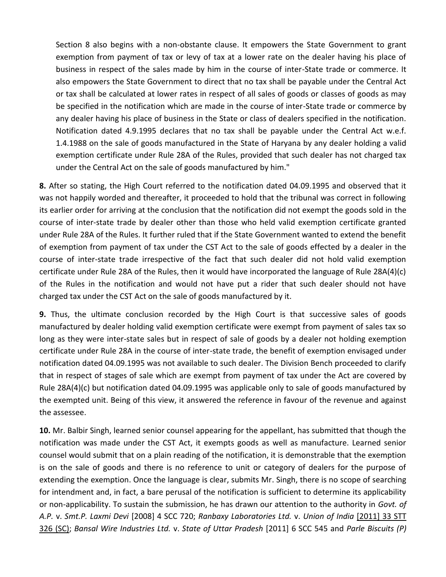Section 8 also begins with a non-obstante clause. It empowers the State Government to grant exemption from payment of tax or levy of tax at a lower rate on the dealer having his place of business in respect of the sales made by him in the course of inter-State trade or commerce. It also empowers the State Government to direct that no tax shall be payable under the Central Act or tax shall be calculated at lower rates in respect of all sales of goods or classes of goods as may be specified in the notification which are made in the course of inter-State trade or commerce by any dealer having his place of business in the State or class of dealers specified in the notification. Notification dated 4.9.1995 declares that no tax shall be payable under the Central Act w.e.f. 1.4.1988 on the sale of goods manufactured in the State of Haryana by any dealer holding a valid exemption certificate under Rule 28A of the Rules, provided that such dealer has not charged tax under the Central Act on the sale of goods manufactured by him."

**8.** After so stating, the High Court referred to the notification dated 04.09.1995 and observed that it was not happily worded and thereafter, it proceeded to hold that the tribunal was correct in following its earlier order for arriving at the conclusion that the notification did not exempt the goods sold in the course of inter-state trade by dealer other than those who held valid exemption certificate granted under Rule 28A of the Rules. It further ruled that if the State Government wanted to extend the benefit of exemption from payment of tax under the CST Act to the sale of goods effected by a dealer in the course of inter-state trade irrespective of the fact that such dealer did not hold valid exemption certificate under Rule 28A of the Rules, then it would have incorporated the language of Rule 28A(4)(c) of the Rules in the notification and would not have put a rider that such dealer should not have charged tax under the CST Act on the sale of goods manufactured by it.

**9.** Thus, the ultimate conclusion recorded by the High Court is that successive sales of goods manufactured by dealer holding valid exemption certificate were exempt from payment of sales tax so long as they were inter-state sales but in respect of sale of goods by a dealer not holding exemption certificate under Rule 28A in the course of inter-state trade, the benefit of exemption envisaged under notification dated 04.09.1995 was not available to such dealer. The Division Bench proceeded to clarify that in respect of stages of sale which are exempt from payment of tax under the Act are covered by Rule 28A(4)(c) but notification dated 04.09.1995 was applicable only to sale of goods manufactured by the exempted unit. Being of this view, it answered the reference in favour of the revenue and against the assessee.

**10.** Mr. Balbir Singh, learned senior counsel appearing for the appellant, has submitted that though the notification was made under the CST Act, it exempts goods as well as manufacture. Learned senior counsel would submit that on a plain reading of the notification, it is demonstrable that the exemption is on the sale of goods and there is no reference to unit or category of dealers for the purpose of extending the exemption. Once the language is clear, submits Mr. Singh, there is no scope of searching for intendment and, in fact, a bare perusal of the notification is sufficient to determine its applicability or non-applicability. To sustain the submission, he has drawn our attention to the authority in *Govt. of A.P.* v. *Smt.P. Laxmi Devi* [2008] 4 SCC 720; *Ranbaxy Laboratories Ltd.* v. *Union of India* [2011] 33 STT 326 (SC); *Bansal Wire Industries Ltd.* v. *State of Uttar Pradesh* [2011] 6 SCC 545 and *Parle Biscuits (P)*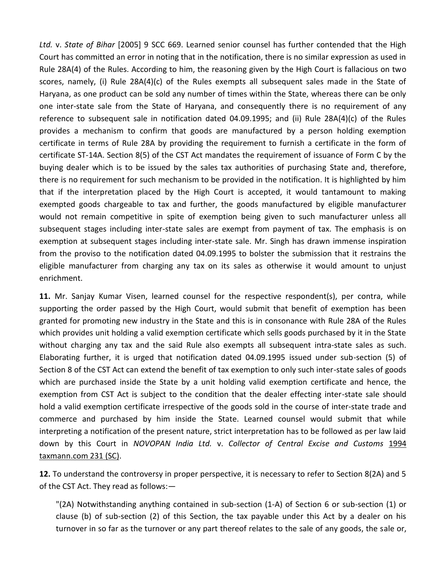*Ltd.* v. *State of Bihar* [2005] 9 SCC 669. Learned senior counsel has further contended that the High Court has committed an error in noting that in the notification, there is no similar expression as used in Rule 28A(4) of the Rules. According to him, the reasoning given by the High Court is fallacious on two scores, namely, (i) Rule 28A(4)(c) of the Rules exempts all subsequent sales made in the State of Haryana, as one product can be sold any number of times within the State, whereas there can be only one inter-state sale from the State of Haryana, and consequently there is no requirement of any reference to subsequent sale in notification dated 04.09.1995; and (ii) Rule 28A(4)(c) of the Rules provides a mechanism to confirm that goods are manufactured by a person holding exemption certificate in terms of Rule 28A by providing the requirement to furnish a certificate in the form of certificate ST-14A. Section 8(5) of the CST Act mandates the requirement of issuance of Form C by the buying dealer which is to be issued by the sales tax authorities of purchasing State and, therefore, there is no requirement for such mechanism to be provided in the notification. It is highlighted by him that if the interpretation placed by the High Court is accepted, it would tantamount to making exempted goods chargeable to tax and further, the goods manufactured by eligible manufacturer would not remain competitive in spite of exemption being given to such manufacturer unless all subsequent stages including inter-state sales are exempt from payment of tax. The emphasis is on exemption at subsequent stages including inter-state sale. Mr. Singh has drawn immense inspiration from the proviso to the notification dated 04.09.1995 to bolster the submission that it restrains the eligible manufacturer from charging any tax on its sales as otherwise it would amount to unjust enrichment.

**11.** Mr. Sanjay Kumar Visen, learned counsel for the respective respondent(s), per contra, while supporting the order passed by the High Court, would submit that benefit of exemption has been granted for promoting new industry in the State and this is in consonance with Rule 28A of the Rules which provides unit holding a valid exemption certificate which sells goods purchased by it in the State without charging any tax and the said Rule also exempts all subsequent intra-state sales as such. Elaborating further, it is urged that notification dated 04.09.1995 issued under sub-section (5) of Section 8 of the CST Act can extend the benefit of tax exemption to only such inter-state sales of goods which are purchased inside the State by a unit holding valid exemption certificate and hence, the exemption from CST Act is subject to the condition that the dealer effecting inter-state sale should hold a valid exemption certificate irrespective of the goods sold in the course of inter-state trade and commerce and purchased by him inside the State. Learned counsel would submit that while interpreting a notification of the present nature, strict interpretation has to be followed as per law laid down by this Court in *NOVOPAN India Ltd.* v. *Collector of Central Excise and Customs* 1994 taxmann.com 231 (SC).

**12.** To understand the controversy in proper perspective, it is necessary to refer to Section 8(2A) and 5 of the CST Act. They read as follows:—

"(2A) Notwithstanding anything contained in sub-section (1-A) of Section 6 or sub-section (1) or clause (b) of sub-section (2) of this Section, the tax payable under this Act by a dealer on his turnover in so far as the turnover or any part thereof relates to the sale of any goods, the sale or,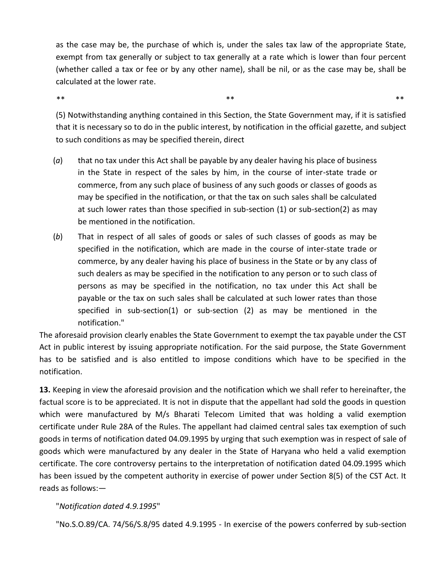as the case may be, the purchase of which is, under the sales tax law of the appropriate State, exempt from tax generally or subject to tax generally at a rate which is lower than four percent (whether called a tax or fee or by any other name), shall be nil, or as the case may be, shall be calculated at the lower rate.

 $\ast\ast$  \*\*  $\ast\ast$  \*\*  $\ast\ast$  \*\*  $\ast\ast$  \*\*  $\ast\ast$  \*\*  $\ast\ast$  \*\*  $\ast\ast$  \*\*  $\ast\ast$  \*\*  $\ast\ast$  \*\*  $\ast\ast$  \*\*  $\ast\ast$  \*\*  $\ast\ast$  \*\*  $\ast\ast$  \*\*  $\ast\ast$  \*\*  $\ast\ast$  \*\*  $\ast\ast$  \*\*  $\ast\ast$  \*\*  $\ast\ast$  \*\*  $\ast\ast$  \*\*  $\ast\ast$  \*\*  $\ast\ast$  \*\*  $\ast\ast$  \*\*

(5) Notwithstanding anything contained in this Section, the State Government may, if it is satisfied that it is necessary so to do in the public interest, by notification in the official gazette, and subject to such conditions as may be specified therein, direct

- (*a*) that no tax under this Act shall be payable by any dealer having his place of business in the State in respect of the sales by him, in the course of inter-state trade or commerce, from any such place of business of any such goods or classes of goods as may be specified in the notification, or that the tax on such sales shall be calculated at such lower rates than those specified in sub-section (1) or sub-section(2) as may be mentioned in the notification.
- (*b*) That in respect of all sales of goods or sales of such classes of goods as may be specified in the notification, which are made in the course of inter-state trade or commerce, by any dealer having his place of business in the State or by any class of such dealers as may be specified in the notification to any person or to such class of persons as may be specified in the notification, no tax under this Act shall be payable or the tax on such sales shall be calculated at such lower rates than those specified in sub-section(1) or sub-section (2) as may be mentioned in the notification."

The aforesaid provision clearly enables the State Government to exempt the tax payable under the CST Act in public interest by issuing appropriate notification. For the said purpose, the State Government has to be satisfied and is also entitled to impose conditions which have to be specified in the notification.

**13.** Keeping in view the aforesaid provision and the notification which we shall refer to hereinafter, the factual score is to be appreciated. It is not in dispute that the appellant had sold the goods in question which were manufactured by M/s Bharati Telecom Limited that was holding a valid exemption certificate under Rule 28A of the Rules. The appellant had claimed central sales tax exemption of such goods in terms of notification dated 04.09.1995 by urging that such exemption was in respect of sale of goods which were manufactured by any dealer in the State of Haryana who held a valid exemption certificate. The core controversy pertains to the interpretation of notification dated 04.09.1995 which has been issued by the competent authority in exercise of power under Section 8(5) of the CST Act. It reads as follows:—

# "*Notification dated 4.9.1995*"

"No.S.O.89/CA. 74/56/S.8/95 dated 4.9.1995 - In exercise of the powers conferred by sub-section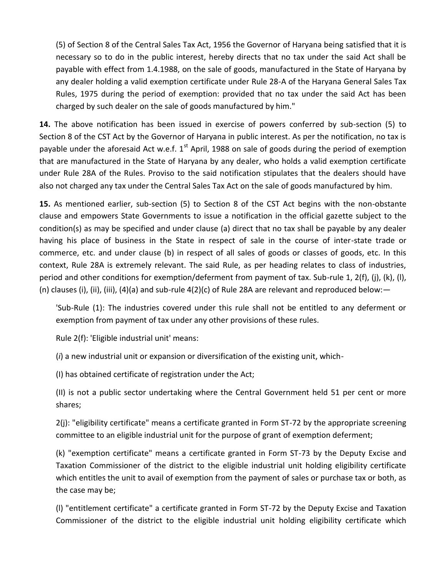(5) of Section 8 of the Central Sales Tax Act, 1956 the Governor of Haryana being satisfied that it is necessary so to do in the public interest, hereby directs that no tax under the said Act shall be payable with effect from 1.4.1988, on the sale of goods, manufactured in the State of Haryana by any dealer holding a valid exemption certificate under Rule 28-A of the Haryana General Sales Tax Rules, 1975 during the period of exemption: provided that no tax under the said Act has been charged by such dealer on the sale of goods manufactured by him."

**14.** The above notification has been issued in exercise of powers conferred by sub-section (5) to Section 8 of the CST Act by the Governor of Haryana in public interest. As per the notification, no tax is payable under the aforesaid Act w.e.f.  $1^{st}$  April, 1988 on sale of goods during the period of exemption that are manufactured in the State of Haryana by any dealer, who holds a valid exemption certificate under Rule 28A of the Rules. Proviso to the said notification stipulates that the dealers should have also not charged any tax under the Central Sales Tax Act on the sale of goods manufactured by him.

**15.** As mentioned earlier, sub-section (5) to Section 8 of the CST Act begins with the non-obstante clause and empowers State Governments to issue a notification in the official gazette subject to the condition(s) as may be specified and under clause (a) direct that no tax shall be payable by any dealer having his place of business in the State in respect of sale in the course of inter-state trade or commerce, etc. and under clause (b) in respect of all sales of goods or classes of goods, etc. In this context, Rule 28A is extremely relevant. The said Rule, as per heading relates to class of industries, period and other conditions for exemption/deferment from payment of tax. Sub-rule 1, 2(f), (j), (k), (l), (n) clauses (i), (ii), (iii), (4)(a) and sub-rule  $4(2)(c)$  of Rule 28A are relevant and reproduced below:  $-$ 

'Sub-Rule (1): The industries covered under this rule shall not be entitled to any deferment or exemption from payment of tax under any other provisions of these rules.

Rule 2(f): 'Eligible industrial unit' means:

(*i*) a new industrial unit or expansion or diversification of the existing unit, which-

(I) has obtained certificate of registration under the Act;

(II) is not a public sector undertaking where the Central Government held 51 per cent or more shares;

2(j): "eligibility certificate" means a certificate granted in Form ST-72 by the appropriate screening committee to an eligible industrial unit for the purpose of grant of exemption deferment;

(k) "exemption certificate" means a certificate granted in Form ST-73 by the Deputy Excise and Taxation Commissioner of the district to the eligible industrial unit holding eligibility certificate which entitles the unit to avail of exemption from the payment of sales or purchase tax or both, as the case may be;

(l) "entitlement certificate" a certificate granted in Form ST-72 by the Deputy Excise and Taxation Commissioner of the district to the eligible industrial unit holding eligibility certificate which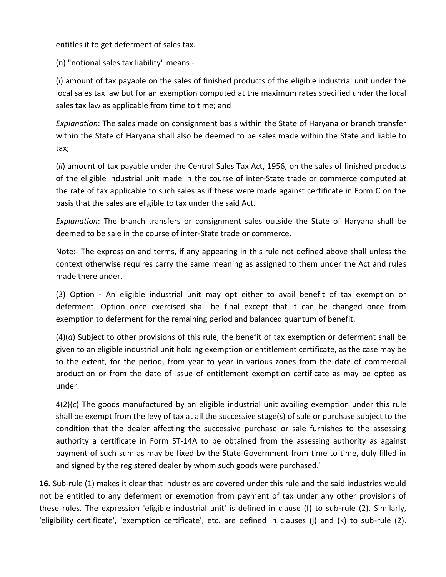entitles it to get deferment of sales tax.

(n) "notional sales tax liability" means -

(*i*) amount of tax payable on the sales of finished products of the eligible industrial unit under the local sales tax law but for an exemption computed at the maximum rates specified under the local sales tax law as applicable from time to time; and

*Explanation*: The sales made on consignment basis within the State of Haryana or branch transfer within the State of Haryana shall also be deemed to be sales made within the State and liable to tax;

(*ii*) amount of tax payable under the Central Sales Tax Act, 1956, on the sales of finished products of the eligible industrial unit made in the course of inter-State trade or commerce computed at the rate of tax applicable to such sales as if these were made against certificate in Form C on the basis that the sales are eligible to tax under the said Act.

*Explanation*: The branch transfers or consignment sales outside the State of Haryana shall be deemed to be sale in the course of inter-State trade or commerce.

Note:- The expression and terms, if any appearing in this rule not defined above shall unless the context otherwise requires carry the same meaning as assigned to them under the Act and rules made there under.

(3) Option - An eligible industrial unit may opt either to avail benefit of tax exemption or deferment. Option once exercised shall be final except that it can be changed once from exemption to deferment for the remaining period and balanced quantum of benefit.

(4)(*a*) Subject to other provisions of this rule, the benefit of tax exemption or deferment shall be given to an eligible industrial unit holding exemption or entitlement certificate, as the case may be to the extent, for the period, from year to year in various zones from the date of commercial production or from the date of issue of entitlement exemption certificate as may be opted as under.

4(2)(*c*) The goods manufactured by an eligible industrial unit availing exemption under this rule shall be exempt from the levy of tax at all the successive stage(s) of sale or purchase subject to the condition that the dealer affecting the successive purchase or sale furnishes to the assessing authority a certificate in Form ST-14A to be obtained from the assessing authority as against payment of such sum as may be fixed by the State Government from time to time, duly filled in and signed by the registered dealer by whom such goods were purchased.'

**16.** Sub-rule (1) makes it clear that industries are covered under this rule and the said industries would not be entitled to any deferment or exemption from payment of tax under any other provisions of these rules. The expression 'eligible industrial unit' is defined in clause (f) to sub-rule (2). Similarly, 'eligibility certificate', 'exemption certificate', etc. are defined in clauses (j) and (k) to sub-rule (2).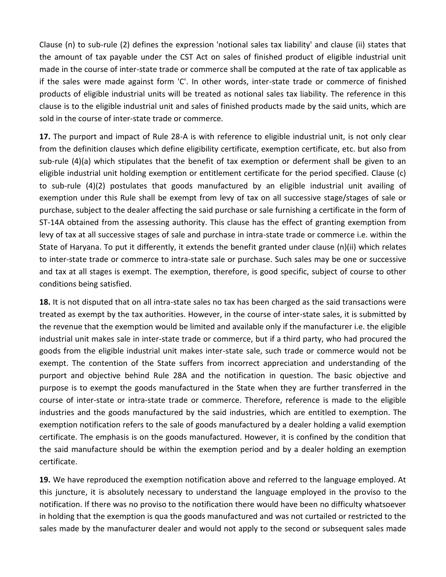Clause (n) to sub-rule (2) defines the expression 'notional sales tax liability' and clause (ii) states that the amount of tax payable under the CST Act on sales of finished product of eligible industrial unit made in the course of inter-state trade or commerce shall be computed at the rate of tax applicable as if the sales were made against form 'C'. In other words, inter-state trade or commerce of finished products of eligible industrial units will be treated as notional sales tax liability. The reference in this clause is to the eligible industrial unit and sales of finished products made by the said units, which are sold in the course of inter-state trade or commerce.

**17.** The purport and impact of Rule 28-A is with reference to eligible industrial unit, is not only clear from the definition clauses which define eligibility certificate, exemption certificate, etc. but also from sub-rule (4)(a) which stipulates that the benefit of tax exemption or deferment shall be given to an eligible industrial unit holding exemption or entitlement certificate for the period specified. Clause (c) to sub-rule (4)(2) postulates that goods manufactured by an eligible industrial unit availing of exemption under this Rule shall be exempt from levy of tax on all successive stage/stages of sale or purchase, subject to the dealer affecting the said purchase or sale furnishing a certificate in the form of ST-14A obtained from the assessing authority. This clause has the effect of granting exemption from levy of tax at all successive stages of sale and purchase in intra-state trade or commerce i.e. within the State of Haryana. To put it differently, it extends the benefit granted under clause (n)(ii) which relates to inter-state trade or commerce to intra-state sale or purchase. Such sales may be one or successive and tax at all stages is exempt. The exemption, therefore, is good specific, subject of course to other conditions being satisfied.

**18.** It is not disputed that on all intra-state sales no tax has been charged as the said transactions were treated as exempt by the tax authorities. However, in the course of inter-state sales, it is submitted by the revenue that the exemption would be limited and available only if the manufacturer i.e. the eligible industrial unit makes sale in inter-state trade or commerce, but if a third party, who had procured the goods from the eligible industrial unit makes inter-state sale, such trade or commerce would not be exempt. The contention of the State suffers from incorrect appreciation and understanding of the purport and objective behind Rule 28A and the notification in question. The basic objective and purpose is to exempt the goods manufactured in the State when they are further transferred in the course of inter-state or intra-state trade or commerce. Therefore, reference is made to the eligible industries and the goods manufactured by the said industries, which are entitled to exemption. The exemption notification refers to the sale of goods manufactured by a dealer holding a valid exemption certificate. The emphasis is on the goods manufactured. However, it is confined by the condition that the said manufacture should be within the exemption period and by a dealer holding an exemption certificate.

**19.** We have reproduced the exemption notification above and referred to the language employed. At this juncture, it is absolutely necessary to understand the language employed in the proviso to the notification. If there was no proviso to the notification there would have been no difficulty whatsoever in holding that the exemption is qua the goods manufactured and was not curtailed or restricted to the sales made by the manufacturer dealer and would not apply to the second or subsequent sales made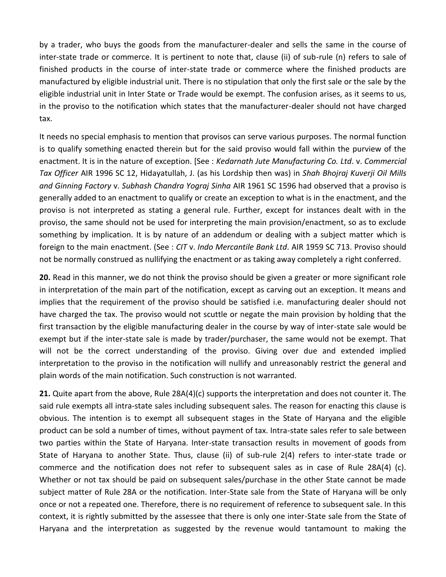by a trader, who buys the goods from the manufacturer-dealer and sells the same in the course of inter-state trade or commerce. It is pertinent to note that, clause (ii) of sub-rule (n) refers to sale of finished products in the course of inter-state trade or commerce where the finished products are manufactured by eligible industrial unit. There is no stipulation that only the first sale or the sale by the eligible industrial unit in Inter State or Trade would be exempt. The confusion arises, as it seems to us, in the proviso to the notification which states that the manufacturer-dealer should not have charged tax.

It needs no special emphasis to mention that provisos can serve various purposes. The normal function is to qualify something enacted therein but for the said proviso would fall within the purview of the enactment. It is in the nature of exception. [See : *Kedarnath Jute Manufacturing Co. Ltd*. v. *Commercial Tax Officer* AIR 1996 SC 12, Hidayatullah, J. (as his Lordship then was) in *Shah Bhojraj Kuverji Oil Mills and Ginning Factory* v. *Subhash Chandra Yograj Sinha* AIR 1961 SC 1596 had observed that a proviso is generally added to an enactment to qualify or create an exception to what is in the enactment, and the proviso is not interpreted as stating a general rule. Further, except for instances dealt with in the proviso, the same should not be used for interpreting the main provision/enactment, so as to exclude something by implication. It is by nature of an addendum or dealing with a subject matter which is foreign to the main enactment. (See : *CIT* v. *Indo Mercantile Bank Ltd*. AIR 1959 SC 713. Proviso should not be normally construed as nullifying the enactment or as taking away completely a right conferred.

**20.** Read in this manner, we do not think the proviso should be given a greater or more significant role in interpretation of the main part of the notification, except as carving out an exception. It means and implies that the requirement of the proviso should be satisfied i.e. manufacturing dealer should not have charged the tax. The proviso would not scuttle or negate the main provision by holding that the first transaction by the eligible manufacturing dealer in the course by way of inter-state sale would be exempt but if the inter-state sale is made by trader/purchaser, the same would not be exempt. That will not be the correct understanding of the proviso. Giving over due and extended implied interpretation to the proviso in the notification will nullify and unreasonably restrict the general and plain words of the main notification. Such construction is not warranted.

**21.** Quite apart from the above, Rule 28A(4)(c) supports the interpretation and does not counter it. The said rule exempts all intra-state sales including subsequent sales. The reason for enacting this clause is obvious. The intention is to exempt all subsequent stages in the State of Haryana and the eligible product can be sold a number of times, without payment of tax. Intra-state sales refer to sale between two parties within the State of Haryana. Inter-state transaction results in movement of goods from State of Haryana to another State. Thus, clause (ii) of sub-rule 2(4) refers to inter-state trade or commerce and the notification does not refer to subsequent sales as in case of Rule 28A(4) (c). Whether or not tax should be paid on subsequent sales/purchase in the other State cannot be made subject matter of Rule 28A or the notification. Inter-State sale from the State of Haryana will be only once or not a repeated one. Therefore, there is no requirement of reference to subsequent sale. In this context, it is rightly submitted by the assessee that there is only one inter-State sale from the State of Haryana and the interpretation as suggested by the revenue would tantamount to making the